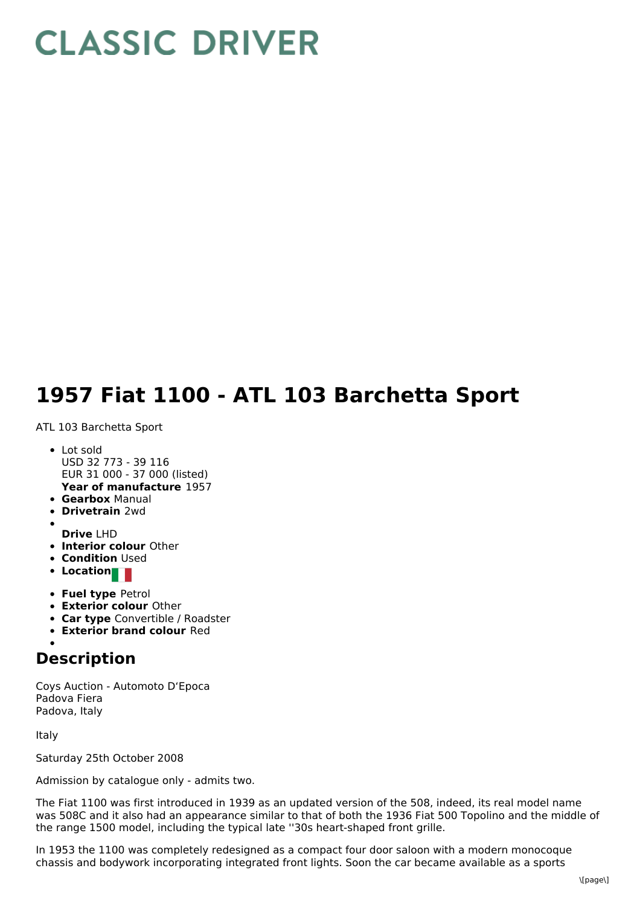## **CLASSIC DRIVER**

## **1957 Fiat 1100 - ATL 103 Barchetta Sport**

ATL 103 Barchetta Sport

- **Year of manufacture** 1957 • Lot sold USD 32 773 - 39 116 EUR 31 000 - 37 000 (listed)
- **Gearbox** Manual
- **Drivetrain** 2wd
- 
- **Drive** LHD
- **Interior colour** Other
- **Condition Used**
- **•** Location
- **Fuel type** Petrol
- **Exterior colour** Other
- **Car type** Convertible / Roadster
- **Exterior brand colour** Red

## **Description**

Coys Auction - Automoto D'Epoca Padova Fiera Padova, Italy

Italy

Saturday 25th October 2008

Admission by catalogue only - admits two.

The Fiat 1100 was first introduced in 1939 as an updated version of the 508, indeed, its real model name was 508C and it also had an appearance similar to that of both the 1936 Fiat 500 Topolino and the middle of the range 1500 model, including the typical late ''30s heart-shaped front grille.

In 1953 the 1100 was completely redesigned as a compact four door saloon with a modern monocoque chassis and bodywork incorporating integrated front lights. Soon the car became available as a sports